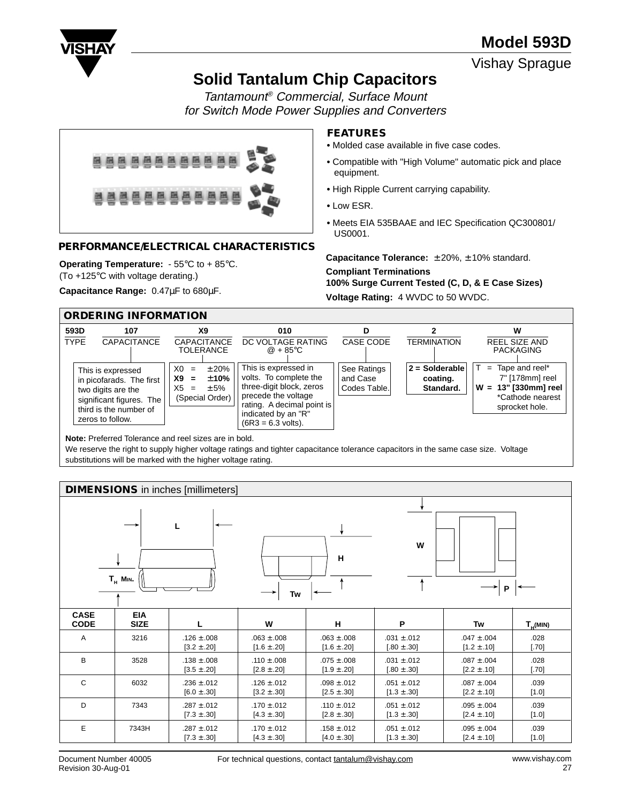

Vishay Sprague

# **Solid Tantalum Chip Capacitors**

Tantamount® Commercial, Surface Mount for Switch Mode Power Supplies and Converters



### **PERFORMANCE/ELECTRICAL CHARACTERISTICS**

**Operating Temperature:** - 55°C to + 85°C.

(To +125°C with voltage derating.)

**Capacitance Range:** 0.47µF to 680µF.

## **FEATURES**

- **•** Molded case available in five case codes.
- **•** Compatible with "High Volume" automatic pick and place equipment.
- **•** High Ripple Current carrying capability.
- **•** Low ESR.
- **•** Meets EIA 535BAAE and IEC Specification QC300801/ US0001.

**Capacitance Tolerance:** ± 20%, ± 10% standard.

#### **Compliant Terminations**

**100% Surge Current Tested (C, D, & E Case Sizes)**

**Voltage Rating:** 4 WVDC to 50 WVDC.



**Note:** Preferred Tolerance and reel sizes are in bold.

We reserve the right to supply higher voltage ratings and tighter capacitance tolerance capacitors in the same case size. Voltage substitutions will be marked with the higher voltage rating.

|                            | <b>DIMENSIONS</b> in inches [millimeters] |                                    |                                    |                                    |                                    |                                    |                 |  |  |  |
|----------------------------|-------------------------------------------|------------------------------------|------------------------------------|------------------------------------|------------------------------------|------------------------------------|-----------------|--|--|--|
|                            | $T_{H}$ M <sub>IN</sub> .                 |                                    | Tw                                 | н                                  | W                                  | P                                  |                 |  |  |  |
| <b>CASE</b><br><b>CODE</b> | <b>EIA</b><br><b>SIZE</b>                 | L                                  | W                                  | н                                  | P                                  | Tw                                 | $T_{H}$ (MIN)   |  |  |  |
| Α                          | 3216                                      | $.126 \pm .008$<br>$[3.2 \pm .20]$ | $.063 \pm .008$<br>$[1.6 \pm .20]$ | $.063 \pm .008$<br>$[1.6 \pm .20]$ | $.031 \pm .012$<br>$[.80 \pm .30]$ | $.047 \pm .004$<br>$[1.2 \pm .10]$ | .028<br>$[.70]$ |  |  |  |
| B                          | 3528                                      | $.138 \pm .008$<br>$[3.5 \pm .20]$ | .110 $\pm$ .008<br>$[2.8 \pm .20]$ | $.075 \pm .008$<br>$[1.9 \pm .20]$ | $.031 \pm .012$<br>$[.80 \pm .30]$ | $.087 \pm .004$<br>$[2.2 \pm .10]$ | .028<br>$[.70]$ |  |  |  |
| $\mathsf{C}$               | 6032                                      | $.236 \pm .012$<br>$[6.0 \pm .30]$ | $.126 \pm .012$<br>$[3.2 \pm .30]$ | $.098 \pm .012$<br>$[2.5 \pm .30]$ | $.051 \pm .012$<br>$[1.3 \pm .30]$ | $.087 \pm .004$<br>$[2.2 \pm .10]$ | .039<br>[1.0]   |  |  |  |
| D                          | 7343                                      | $.287 \pm .012$<br>$[7.3 \pm .30]$ | $.170 \pm .012$<br>$[4.3 \pm .30]$ | $.110 \pm .012$<br>$[2.8 \pm .30]$ | $.051 \pm .012$<br>$[1.3 \pm .30]$ | $.095 \pm .004$<br>$[2.4 \pm .10]$ | .039<br>$[1.0]$ |  |  |  |
| E                          | 7343H                                     | $.287 \pm .012$<br>$[7.3 \pm .30]$ | $.170 \pm .012$<br>$[4.3 \pm .30]$ | $.158 \pm .012$<br>$[4.0 \pm .30]$ | $.051 \pm .012$<br>$[1.3 \pm .30]$ | $.095 \pm .004$<br>$[2.4 \pm .10]$ | .039<br>[1.0]   |  |  |  |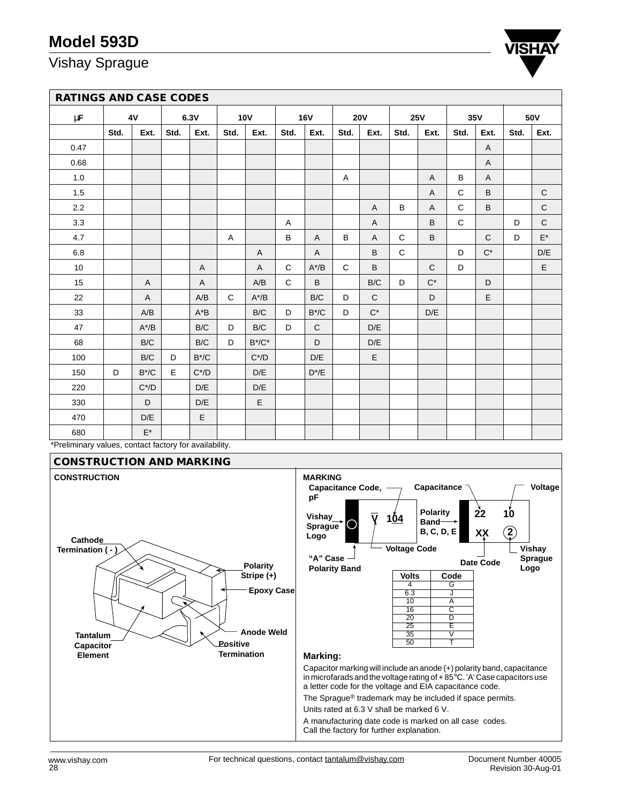# Vishay Sprague



|         | <b>RATINGS AND CASE CODES</b> |         |      |             |             |                         |              |              |              |                |              |                |      |              |      |                    |
|---------|-------------------------------|---------|------|-------------|-------------|-------------------------|--------------|--------------|--------------|----------------|--------------|----------------|------|--------------|------|--------------------|
| $\mu$ F |                               | 4V      |      | 6.3V        |             | <b>10V</b>              |              | <b>16V</b>   |              | <b>20V</b>     |              | <b>25V</b>     |      | 35V          |      | 50V                |
|         | Std.                          | Ext.    | Std. | Ext.        | Std.        | Ext.                    | Std.         | Ext.         | Std.         | Ext.           | Std.         | Ext.           | Std. | Ext.         | Std. | Ext.               |
| 0.47    |                               |         |      |             |             |                         |              |              |              |                |              |                |      | A            |      |                    |
| 0.68    |                               |         |      |             |             |                         |              |              |              |                |              |                |      | $\mathsf{A}$ |      |                    |
| 1.0     |                               |         |      |             |             |                         |              |              | Α            |                |              | $\overline{A}$ | B    | $\mathsf{A}$ |      |                    |
| 1.5     |                               |         |      |             |             |                         |              |              |              |                |              | A              | C    | B            |      | $\mathbf C$        |
| 2.2     |                               |         |      |             |             |                         |              |              |              | $\overline{A}$ | B            | A              | C    | B            |      | $\mathsf C$        |
| 3.3     |                               |         |      |             |             |                         | A            |              |              | $\mathsf{A}$   |              | B              | C    |              | D    | $\mathbf C$        |
| 4.7     |                               |         |      |             | A           |                         | B            | A            | B            | A              | $\mathsf C$  | B              |      | $\mathsf C$  | D    | $\mathsf{E}^\star$ |
| 6.8     |                               |         |      |             |             | A                       |              | A            |              | B              | $\mathsf{C}$ |                | D    | $C^*$        |      | D/E                |
| 10      |                               |         |      | A           |             | A                       | $\mathsf{C}$ | $A^*/B$      | $\mathsf{C}$ | B              |              | $\mathsf{C}$   | D    |              |      | E                  |
| 15      |                               | A       |      | A           |             | A/B                     | $\mathsf{C}$ | B            |              | B/C            | D            | $C^*$          |      | D            |      |                    |
| 22      |                               | A       |      | A/B         | $\mathbf C$ | $A^*/B$                 |              | B/C          | D            | $\mathsf{C}$   |              | D              |      | E            |      |                    |
| 33      |                               | A/B     |      | $A^*B$      |             | B/C                     | D            | $B^*/C$      | D            | $C^*$          |              | D/E            |      |              |      |                    |
| 47      |                               | $A^*/B$ |      | B/C         | D           | B/C                     | D            | $\mathsf{C}$ |              | D/E            |              |                |      |              |      |                    |
| 68      |                               | B/C     |      | B/C         | D           | $B^*/C^*$               |              | D            |              | D/E            |              |                |      |              |      |                    |
| 100     |                               | B/C     | D    | $B^*/C$     |             | $C^*/D$                 |              | D/E          |              | E              |              |                |      |              |      |                    |
| 150     | D                             | $B^*/C$ | E    | $C^*/D$     |             | $\mathsf{D}/\mathsf{E}$ |              | $D^*/E$      |              |                |              |                |      |              |      |                    |
| 220     |                               | $C^*/D$ |      | D/E         |             | $\mathsf{D}/\mathsf{E}$ |              |              |              |                |              |                |      |              |      |                    |
| 330     |                               | D       |      | D/E         |             | E                       |              |              |              |                |              |                |      |              |      |                    |
| 470     |                               | D/E     |      | $\mathsf E$ |             |                         |              |              |              |                |              |                |      |              |      |                    |
| 680     |                               | $E^*$   |      |             |             |                         |              |              |              |                |              |                |      |              |      |                    |

\*Preliminary values, contact factory for availability.

#### **CONSTRUCTION Anode Weld Epoxy Case Cathode Termination ( - ) Tantalum Capacitor Element Positive Termination Polarity Stripe (+) Marking:** Capacitor marking will include an anode (+) polarity band, capacitance in microfarads and the voltage rating of + 85°C. 'A' Case capacitors use a letter code for the voltage and EIA capacitance code. The Sprague® trademark may be included if space permits. Units rated at 6.3 V shall be marked 6 V. A manufacturing date code is marked on all case codes. Call the factory for further explanation. **CONSTRUCTION AND MARKING** Capacitance **Voltage Vishay Sprague** Date Code  $\overline{Y}$  104 **Polarity** 22 10 **Band B, C, D, E MARKING Capacitance Code, pF Vishay Sprague Logo "A" Case Polarity Band Voltage Code Volts Code** 4 G 6.3 J 10 A  $\begin{array}{|c|c|c|}\n\hline\n16 & C \\
\hline\n20 & D\n\end{array}$  $\frac{20}{25}$  D<br> $\frac{D}{F}$  $\begin{array}{c|c}\n\hline\n25 & \text{E}\n\hline\n35 & \text{V}\n\end{array}$  $\overline{35}$  $\overline{50}$ **XX 2**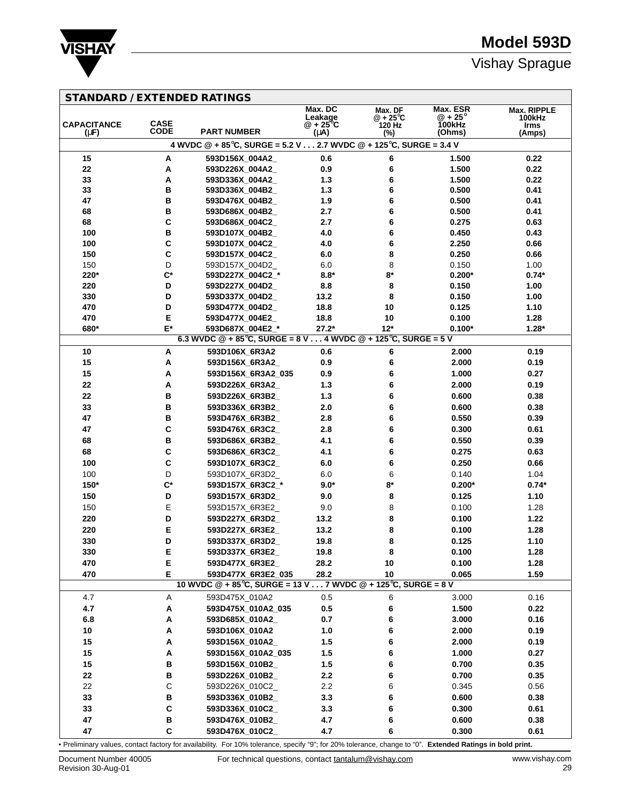

# Vishay Sprague

| <b>STANDARD / EXTENDED RATINGS</b> |                    |                                                                                  |                              |                             |                          |                              |
|------------------------------------|--------------------|----------------------------------------------------------------------------------|------------------------------|-----------------------------|--------------------------|------------------------------|
|                                    |                    |                                                                                  | Max. DC                      | Max. DF                     | Max. ESR                 | <b>Max. RIPPLE</b>           |
| <b>CAPACITANCE</b>                 | <b>CASE</b>        |                                                                                  | Leakage<br>$@ + 25^{\circ}C$ | $@ + 25^{\circ}C$<br>120 Hz | $@ + 25^\circ$<br>100kHz | <b>100kHz</b><br><b>Irms</b> |
| $(\mu F)$                          | <b>CODE</b>        | <b>PART NUMBER</b>                                                               | (μA)                         | $(\%)$                      | (Ohms)                   | (Amps)                       |
|                                    |                    | 4 WVDC @ + 85°C, SURGE = 5.2 V 2.7 WVDC @ + 125°C, SURGE = 3.4 V                 |                              |                             |                          |                              |
| 15                                 | A                  | 593D156X_004A2_                                                                  | 0.6                          | 6                           | 1.500                    | 0.22                         |
| 22                                 | A                  | 593D226X_004A2_                                                                  | 0.9                          | 6                           | 1.500                    | 0.22                         |
| 33                                 | Α                  | 593D336X_004A2_                                                                  | 1.3                          | 6                           | 1.500                    | 0.22                         |
| 33                                 | в                  | 593D336X_004B2_                                                                  | 1.3                          | 6                           | 0.500                    | 0.41                         |
| 47                                 | в                  | 593D476X_004B2_                                                                  | 1.9                          | 6                           | 0.500                    | 0.41                         |
| 68                                 | в                  | 593D686X 004B2                                                                   | 2.7                          | 6                           | 0.500                    | 0.41                         |
| 68                                 | C                  | 593D686X 004C2                                                                   | 2.7                          | 6                           | 0.275                    | 0.63                         |
| 100                                | в                  | 593D107X 004B2                                                                   | 4.0                          | 6                           | 0.450                    | 0.43                         |
| 100<br>150                         | C<br>C             | 593D107X_004C2_<br>593D157X_004C2_                                               | 4.0<br>6.0                   | 6<br>8                      | 2.250<br>0.250           | 0.66<br>0.66                 |
| 150                                | D                  | 593D157X_004D2_                                                                  | 6.0                          | 8                           | 0.150                    | 1.00                         |
| 220*                               | $\mathbf{C}^*$     | 593D227X_004C2_*                                                                 | $8.8*$                       | $\mathbf{8}^{\star}$        | $0.200*$                 | $0.74*$                      |
| 220                                | D                  | 593D227X_004D2_                                                                  | 8.8                          | 8                           | 0.150                    | 1.00                         |
| 330                                | D                  | 593D337X_004D2_                                                                  | 13.2                         | 8                           | 0.150                    | 1.00                         |
| 470                                | D                  | 593D477X_004D2_                                                                  | 18.8                         | 10                          | 0.125                    | 1.10                         |
| 470                                | E                  | 593D477X_004E2_                                                                  | 18.8                         | 10                          | 0.100                    | 1.28                         |
| 680*                               | E*                 | 593D687X 004E2 *                                                                 | $27.2*$                      | $12*$                       | $0.100*$                 | $1.28*$                      |
|                                    |                    | 6.3 WVDC $@ + 85^{\circ}C$ , SURGE = 8 V 4 WVDC $@ + 125^{\circ}C$ , SURGE = 5 V |                              |                             |                          |                              |
| 10                                 | A                  | 593D106X_6R3A2                                                                   | 0.6                          | 6                           | 2.000                    | 0.19                         |
| 15                                 | А                  | 593D156X_6R3A2_                                                                  | 0.9                          | 6                           | 2.000                    | 0.19                         |
| 15                                 | Α                  | 593D156X 6R3A2 035                                                               | 0.9                          | 6                           | 1.000                    | 0.27                         |
| 22                                 | А                  | 593D226X 6R3A2                                                                   | 1.3                          | 6                           | 2.000                    | 0.19                         |
| 22                                 | в                  | 593D226X_6R3B2_                                                                  | 1.3                          | 6                           | 0.600                    | 0.38                         |
| 33                                 | в                  | 593D336X_6R3B2_                                                                  | 2.0                          | 6                           | 0.600                    | 0.38                         |
| 47                                 | в                  | 593D476X_6R3B2_                                                                  | 2.8                          | 6                           | 0.550                    | 0.39                         |
| 47                                 | C                  | 593D476X_6R3C2_                                                                  | 2.8                          | 6                           | 0.300                    | 0.61                         |
| 68                                 | в                  | 593D686X_6R3B2_                                                                  | 4.1                          | 6                           | 0.550                    | 0.39                         |
| 68                                 | C                  | 593D686X_6R3C2_                                                                  | 4.1                          | 6                           | 0.275                    | 0.63                         |
| 100                                | C                  | 593D107X_6R3C2_                                                                  | 6.0                          | 6                           | 0.250                    | 0.66                         |
| 100                                | D                  | 593D107X_6R3D2_                                                                  | 6.0                          | 6                           | 0.140                    | 1.04                         |
| 150*                               | $\mathsf{C}^\star$ | 593D157X_6R3C2_*                                                                 | $9.0*$                       | $8*$                        | $0.200*$                 | $0.74*$                      |
| 150                                | D                  | 593D157X 6R3D2                                                                   | 9.0                          | 8                           | 0.125                    | 1.10                         |
| 150                                | E                  | 593D157X 6R3E2                                                                   | 9.0                          | 8                           | 0.100                    | 1.28                         |
| 220                                | D                  | 593D227X 6R3D2                                                                   | 13.2                         | 8                           | 0.100                    | 1.22                         |
| 220                                | E                  | 593D227X_6R3E2_                                                                  | 13.2                         | 8                           | 0.100                    | 1.28                         |
| 330                                | D                  | 593D337X_6R3D2_                                                                  | 19.8                         | 8                           | 0.125                    | 1.10                         |
| 330                                | E                  | 593D337X_6R3E2_                                                                  | 19.8                         | 8                           | 0.100                    | 1.28                         |
| 470                                | E                  | 593D477X_6R3E2_                                                                  | 28.2                         | 10                          | 0.100                    | 1.28                         |
| 470                                | Е                  | 593D477X_6R3E2_035                                                               | 28.2                         | 10                          | 0.065                    | 1.59                         |
|                                    |                    | 10 WVDC @ + 85°C, SURGE = 13 V 7 WVDC @ + 125°C, SURGE = 8 V                     |                              |                             |                          |                              |
| 4.7                                | Α                  | 593D475X_010A2                                                                   | 0.5                          | 6                           | 3.000                    | 0.16                         |
| 4.7                                | Α                  | 593D475X_010A2_035                                                               | $0.5\,$                      | 6                           | 1.500                    | 0.22                         |
| 6.8                                | Α                  | 593D685X_010A2_                                                                  | 0.7                          | 6                           | 3.000                    | 0.16                         |
| 10                                 | Α                  | 593D106X_010A2                                                                   | 1.0                          | 6                           | 2.000                    | 0.19                         |
| 15                                 | Α                  | 593D156X 010A2                                                                   | $1.5$                        | 6                           | 2.000                    | 0.19                         |
| 15                                 | Α                  | 593D156X_010A2_035                                                               | $1.5$                        | 6                           | 1.000                    | 0.27                         |
| 15                                 | В                  | 593D156X_010B2_                                                                  | 1.5                          | 6                           | 0.700                    | 0.35                         |
| 22                                 | В                  | 593D226X_010B2_                                                                  | 2.2                          | 6                           | 0.700                    | 0.35                         |
| 22                                 | $\mathsf C$        | 593D226X_010C2_                                                                  | 2.2                          | 6                           | 0.345                    | 0.56                         |
| 33                                 | В                  | 593D336X_010B2_                                                                  | 3.3                          | 6                           | 0.600                    | 0.38                         |
| 33                                 | C                  | 593D336X_010C2_                                                                  | 3.3                          | 6                           | 0.300                    | 0.61                         |
| 47                                 | В                  | 593D476X_010B2_                                                                  | 4.7                          | 6                           | 0.600                    | 0.38                         |
| 47                                 | C                  | 593D476X_010C2_                                                                  | 4.7                          | 6                           | 0.300                    | 0.61                         |

• Preliminary values, contact factory for availability. For 10% tolerance, specify "9"; for 20% tolerance, change to "0". **Extended Ratings in bold print.**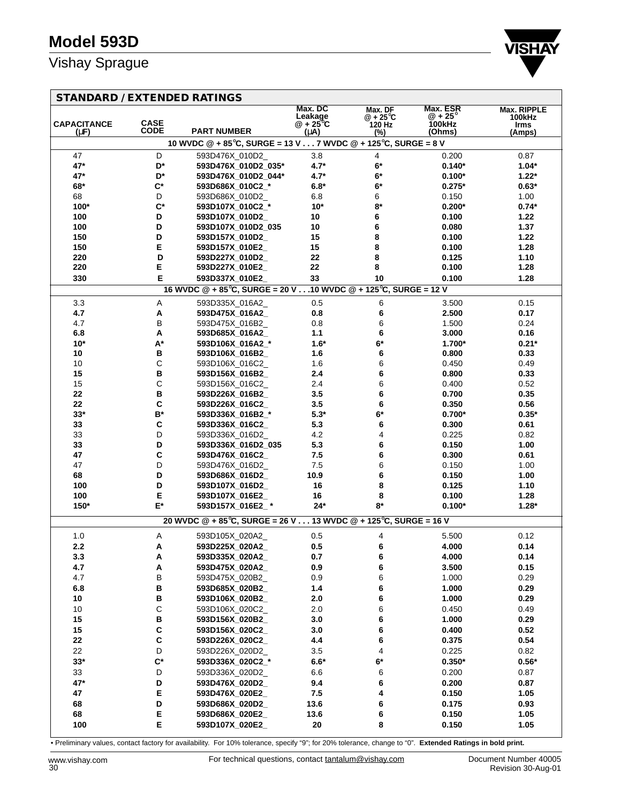

## **STANDARD / EXTENDED RATINGS**

| SIANDARD / EATENDED RATIN       |                      |                                                                                  | Max. DC                     | Max. DF              | Max. ESR         | <b>Max. RIPPLE</b>    |
|---------------------------------|----------------------|----------------------------------------------------------------------------------|-----------------------------|----------------------|------------------|-----------------------|
|                                 | <b>CASE</b>          |                                                                                  | Leakage<br>$@ + 25^\circ C$ | $@ + 25^{\circ}C$    | $@ + 25^\circ$   | 100kHz                |
| <b>CAPACITANCE</b><br>$(\mu F)$ | <b>CODE</b>          | <b>PART NUMBER</b>                                                               | (µA)                        | 120 Hz<br>(%)        | 100kHz<br>(Ohms) | <b>Irms</b><br>(Amps) |
|                                 |                      | 10 WVDC $@ + 85^{\circ}$ C, SURGE = 13 V 7 WVDC $@ + 125^{\circ}$ C, SURGE = 8 V |                             |                      |                  |                       |
| 47                              | D                    | 593D476X_010D2_                                                                  | 3.8                         | 4                    | 0.200            | 0.87                  |
| 47*                             | D*                   | 593D476X_010D2_035*                                                              | $4.7*$                      | $\mathbf{6}^{\star}$ | $0.140*$         | $1.04*$               |
| 47*                             | D*                   | 593D476X_010D2_044*                                                              | $4.7*$                      | $6*$                 | $0.100*$         | $1.22*$               |
| 68*                             | $\mathbf{C}^{\star}$ | 593D686X_010C2_*                                                                 | $6.8*$                      | $6*$                 | $0.275*$         | $0.63*$               |
| 68                              | D                    | 593D686X_010D2_                                                                  | 6.8                         | 6                    | 0.150            | 1.00                  |
| 100*                            | $\mathsf{C}^\star$   | 593D107X_010C2_*                                                                 | $10*$                       | $8*$                 | $0.200*$         | $0.74*$               |
| 100                             | D                    | 593D107X_010D2_                                                                  | 10                          | 6                    | 0.100            | 1.22                  |
| 100                             | D                    | 593D107X_010D2_035                                                               | 10                          | 6                    | 0.080            | 1.37                  |
| 150                             | D                    | 593D157X 010D2                                                                   | 15                          | 8                    | 0.100            | 1.22                  |
| 150                             | E                    | 593D157X_010E2_                                                                  | 15                          | 8                    | 0.100            | 1.28                  |
| 220                             | D                    | 593D227X_010D2_                                                                  | 22                          | 8                    | 0.125            | 1.10                  |
| 220                             | Е                    | 593D227X_010E2_                                                                  | 22                          | 8                    | 0.100            | 1.28                  |
| 330                             | Е                    | 593D337X 010E2                                                                   | 33                          | 10                   | 0.100            | 1.28                  |
|                                 |                      | 16 WVDC @ + 85°C, SURGE = 20 V 10 WVDC @ + 125°C, SURGE = 12 V                   |                             |                      |                  |                       |
| 3.3                             | Α                    | 593D335X_016A2_                                                                  | 0.5                         | 6                    | 3.500            | 0.15                  |
| 4.7                             | Α                    | 593D475X_016A2_                                                                  | 0.8                         | 6                    | 2.500            | 0.17                  |
| 4.7                             | B                    | 593D475X_016B2_                                                                  | 0.8                         | 6                    | 1.500            | 0.24                  |
| 6.8                             | Α                    | 593D685X_016A2_                                                                  | 1.1                         | 6                    | 3.000            | 0.16                  |
| $10*$                           | A*                   | 593D106X_016A2_*                                                                 | $1.6*$                      | $6*$                 | 1.700*           | $0.21*$               |
| 10                              | В                    | 593D106X_016B2_                                                                  | 1.6                         | 6                    | 0.800            | 0.33                  |
| 10                              | $\mathsf C$          | 593D106X_016C2_                                                                  | 1.6                         | 6                    | 0.450            | 0.49                  |
| 15                              | B<br>$\mathsf C$     | 593D156X_016B2_<br>593D156X 016C2                                                | 2.4<br>2.4                  | 6                    | 0.800<br>0.400   | 0.33<br>0.52          |
| 15<br>22                        | В                    | 593D226X_016B2_                                                                  | 3.5                         | 6<br>6               | 0.700            | 0.35                  |
| 22                              | C                    | 593D226X_016C2_                                                                  | 3.5                         | 6                    | 0.350            | 0.56                  |
| $33*$                           | $\mathsf{B}^{\star}$ | 593D336X_016B2_*                                                                 | $5.3*$                      | 6*                   | $0.700*$         | $0.35*$               |
| 33                              | C                    | 593D336X_016C2_                                                                  | 5.3                         | 6                    | 0.300            | 0.61                  |
| 33                              | D                    | 593D336X_016D2_                                                                  | 4.2                         | 4                    | 0.225            | 0.82                  |
| 33                              | D                    | 593D336X_016D2_035                                                               | 5.3                         | 6                    | 0.150            | 1.00                  |
| 47                              | C                    | 593D476X_016C2_                                                                  | 7.5                         | 6                    | 0.300            | 0.61                  |
| 47                              | D                    | 593D476X_016D2_                                                                  | 7.5                         | 6                    | 0.150            | 1.00                  |
| 68                              | D                    | 593D686X_016D2_                                                                  | 10.9                        | 6                    | 0.150            | 1.00                  |
| 100                             | D                    | 593D107X_016D2_                                                                  | 16                          | 8                    | 0.125            | 1.10                  |
| 100                             | E                    | 593D107X_016E2_                                                                  | 16                          | 8                    | 0.100            | 1.28                  |
| 150*                            | $E^*$                | 593D157X 016E2 *                                                                 | $24*$                       | 8*                   | $0.100*$         | $1.28*$               |
|                                 |                      | 20 WVDC @ + 85°C, SURGE = 26 V 13 WVDC @ + 125°C, SURGE = 16 V                   |                             |                      |                  |                       |
| 1.0                             | Α                    | 593D105X_020A2_                                                                  | 0.5                         |                      | 5.500            | 0.12                  |
| 2.2                             | A                    | 593D225X_020A2_                                                                  | 0.5                         | 4<br>6               | 4.000            | 0.14                  |
| 3.3                             | Α                    | 593D335X_020A2_                                                                  | 0.7                         | 6                    | 4.000            | 0.14                  |
| 4.7                             | A                    | 593D475X 020A2                                                                   | 0.9                         | 6                    | 3.500            | 0.15                  |
| 4.7                             | B                    | 593D475X_020B2_                                                                  | 0.9                         | 6                    | 1.000            | 0.29                  |
| 6.8                             | B                    | 593D685X_020B2_                                                                  | 1.4                         | 6                    | 1.000            | 0.29                  |
| 10                              | B                    | 593D106X_020B2_                                                                  | 2.0                         | 6                    | 1.000            | 0.29                  |
| 10                              | $\mathbf C$          | 593D106X 020C2                                                                   | 2.0                         | 6                    | 0.450            | 0.49                  |
| 15                              | B                    | 593D156X_020B2_                                                                  | 3.0                         | 6                    | 1.000            | 0.29                  |
| 15                              | C                    | 593D156X_020C2_                                                                  | 3.0                         | 6                    | 0.400            | 0.52                  |
| 22                              | C                    | 593D226X_020C2_                                                                  | 4.4                         | 6                    | 0.375            | 0.54                  |
| 22                              | D                    | 593D226X_020D2_                                                                  | 3.5                         | 4                    | 0.225            | 0.82                  |
| $33*$                           | $\mathbf{C}^{\star}$ | 593D336X 020C2 *                                                                 | $6.6*$                      | $\mathbf{6}^{\star}$ | $0.350*$         | $0.56*$               |
| 33                              | D                    | 593D336X_020D2_                                                                  | 6.6                         | 6                    | 0.200            | 0.87                  |
| 47*                             | D                    | 593D476X_020D2_                                                                  | 9.4                         | 6                    | 0.200            | 0.87                  |
| 47                              | E                    | 593D476X_020E2_                                                                  | 7.5                         | 4                    | 0.150            | 1.05                  |
| 68                              | D                    | 593D686X_020D2_                                                                  | 13.6                        | 6                    | 0.175            | 0.93                  |
| 68                              | E                    | 593D686X_020E2_                                                                  | 13.6                        | 6                    | 0.150            | 1.05                  |
| 100                             | E                    | 593D107X_020E2_                                                                  | 20                          | 8                    | 0.150            | 1.05                  |
|                                 |                      |                                                                                  |                             |                      |                  |                       |

• Preliminary values, contact factory for availability. For 10% tolerance, specify "9"; for 20% tolerance, change to "0". **Extended Ratings in bold print.**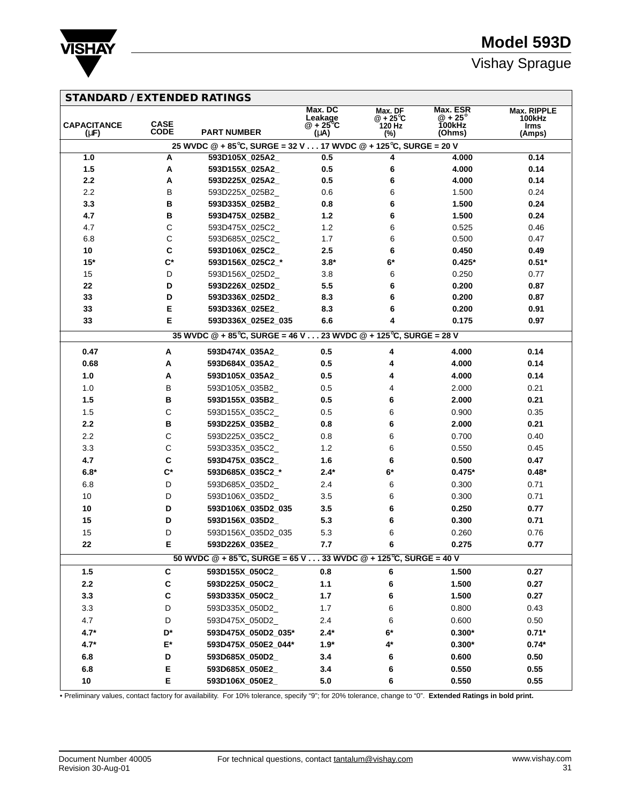

| <b>STANDARD / EXTENDED RATINGS</b> |  |  |  |
|------------------------------------|--|--|--|
|------------------------------------|--|--|--|

| <b>CAPACITANCE</b><br>$(\mu F)$ | <b>CASE</b><br><b>CODE</b> | <b>PART NUMBER</b>                                                                 | Max. DC<br>Leakage<br>$@ + 25^\circ C$<br>(μA) | Max. DF<br>$@ + 25^\circ \text{C}$<br>120 Hz | Max. ESR<br>$@ + 25^\circ$<br><b>100kHz</b><br>(Ohms) | Max. RIPPLE<br>100kHz<br><b>Irms</b> |
|---------------------------------|----------------------------|------------------------------------------------------------------------------------|------------------------------------------------|----------------------------------------------|-------------------------------------------------------|--------------------------------------|
|                                 |                            | 25 WVDC @ + 85°C, SURGE = 32 V 17 WVDC @ + 125°C, SURGE = 20 V                     |                                                | (%)                                          |                                                       | (Amps)                               |
| 1.0                             | Α                          | 593D105X_025A2_                                                                    | 0.5                                            | 4                                            | 4.000                                                 | 0.14                                 |
| 1.5                             | Α                          | 593D155X_025A2_                                                                    | 0.5                                            | 6                                            | 4.000                                                 | 0.14                                 |
| 2.2                             | A                          | 593D225X_025A2_                                                                    | 0.5                                            | 6                                            | 4.000                                                 | 0.14                                 |
| 2.2                             | B                          | 593D225X_025B2_                                                                    | 0.6                                            | 6                                            | 1.500                                                 | 0.24                                 |
| 3.3                             | В                          | 593D335X_025B2_                                                                    | 0.8                                            | 6                                            | 1.500                                                 | 0.24                                 |
| 4.7                             | в                          | 593D475X_025B2_                                                                    | 1.2                                            | 6                                            | 1.500                                                 | 0.24                                 |
| 4.7                             | $\mathsf C$                | 593D475X_025C2_                                                                    | 1.2                                            | 6                                            | 0.525                                                 | 0.46                                 |
| 6.8                             | $\mathsf C$                | 593D685X_025C2_                                                                    | 1.7                                            | 6                                            | 0.500                                                 | 0.47                                 |
| 10                              | $\mathbf c$                | 593D106X_025C2_                                                                    | 2.5                                            | 6                                            | 0.450                                                 | 0.49                                 |
| $15*$                           | $\mathsf{C}^\star$         | 593D156X_025C2_*                                                                   | $3.8*$                                         | $6*$                                         | $0.425*$                                              | $0.51*$                              |
| 15                              | D                          | 593D156X_025D2_                                                                    | 3.8                                            | 6                                            | 0.250                                                 | 0.77                                 |
| 22                              | D                          | 593D226X_025D2_                                                                    | 5.5                                            | 6                                            | 0.200                                                 | 0.87                                 |
| 33                              | D                          | 593D336X_025D2_                                                                    | 8.3                                            | 6                                            | 0.200                                                 | 0.87                                 |
| 33                              | Е                          | 593D336X_025E2_                                                                    | 8.3                                            | 6                                            | 0.200                                                 | 0.91                                 |
| 33                              | Е                          | 593D336X 025E2 035                                                                 | 6.6                                            | 4                                            | 0.175                                                 | 0.97                                 |
|                                 |                            | 35 WVDC @ + 85°C, SURGE = 46 V 23 WVDC @ + 125°C, SURGE = 28 V                     |                                                |                                              |                                                       |                                      |
| 0.47                            | A                          | 593D474X_035A2_                                                                    | 0.5                                            | 4                                            | 4.000                                                 | 0.14                                 |
| 0.68                            | Α                          | 593D684X_035A2_                                                                    | 0.5                                            | 4                                            | 4.000                                                 | 0.14                                 |
| 1.0                             | А                          | 593D105X_035A2_                                                                    | 0.5                                            | 4                                            | 4.000                                                 | 0.14                                 |
| 1.0                             | B                          | 593D105X_035B2_                                                                    | 0.5                                            | 4                                            | 2.000                                                 | 0.21                                 |
| 1.5                             | В                          | 593D155X_035B2_                                                                    | 0.5                                            | 6                                            | 2.000                                                 | 0.21                                 |
| 1.5                             | $\mathsf C$                | 593D155X_035C2_                                                                    | 0.5                                            | 6                                            | 0.900                                                 | 0.35                                 |
| 2.2                             | в                          | 593D225X_035B2_                                                                    | 0.8                                            | 6                                            | 2.000                                                 | 0.21                                 |
| 2.2                             | $\mathsf C$                | 593D225X_035C2_                                                                    | 0.8                                            | 6                                            | 0.700                                                 | 0.40                                 |
| 3.3                             | $\mathsf C$                | 593D335X_035C2_                                                                    | 1.2                                            | 6                                            | 0.550                                                 | 0.45                                 |
| 4.7                             | $\mathbf c$                | 593D475X_035C2_                                                                    | 1.6                                            | 6                                            | 0.500                                                 | 0.47                                 |
| $6.8*$                          | $\mathsf{C}^\star$         | 593D685X_035C2_*                                                                   | $2.4*$                                         | $6*$                                         | $0.475*$                                              | $0.48*$                              |
| 6.8                             | D                          | 593D685X_035D2_                                                                    | 2.4                                            | 6                                            | 0.300                                                 | 0.71                                 |
| 10                              | D                          | 593D106X_035D2_                                                                    | 3.5                                            | 6                                            | 0.300                                                 | 0.71                                 |
| 10                              | D                          | 593D106X_035D2_035                                                                 | 3.5                                            | 6                                            | 0.250                                                 | 0.77                                 |
| 15                              | D                          | 593D156X_035D2_                                                                    | 5.3                                            | 6                                            | 0.300                                                 | 0.71                                 |
| 15                              | D                          | 593D156X_035D2_035                                                                 | 5.3                                            | 6                                            | 0.260                                                 | 0.76                                 |
| 22                              | Е                          | 593D226X_035E2_                                                                    | 7.7                                            | 6                                            | 0.275                                                 | 0.77                                 |
|                                 |                            | 50 WVDC $@ + 85^{\circ}C$ , SURGE = 65 V 33 WVDC $@ + 125^{\circ}C$ , SURGE = 40 V |                                                |                                              |                                                       |                                      |
| 1.5                             | C                          | 593D155X 050C2                                                                     | 0.8                                            | 6                                            | 1.500                                                 | 0.27                                 |
| 2.2                             | C                          | 593D225X_050C2_                                                                    | $1.1$                                          | 6                                            | 1.500                                                 | 0.27                                 |
| 3.3                             | $\mathbf{C}$               | 593D335X_050C2_                                                                    | 1.7                                            | 6                                            | 1.500                                                 | 0.27                                 |
| 3.3                             | D                          | 593D335X 050D2                                                                     | 1.7                                            | 6                                            | 0.800                                                 | 0.43                                 |
| 4.7                             | D                          | 593D475X_050D2_                                                                    | 2.4                                            | 6                                            | 0.600                                                 | 0.50                                 |
| $4.7*$                          | D*                         | 593D475X 050D2 035*                                                                | $2.4*$                                         | 6*                                           | $0.300*$                                              | $0.71*$                              |
| $4.7*$                          | $\mathsf{E}^\star$         | 593D475X_050E2_044*                                                                | $1.9*$                                         | 4*                                           | $0.300*$                                              | $0.74*$                              |
| 6.8                             | D                          | 593D685X_050D2_                                                                    | 3.4                                            | 6                                            | 0.600                                                 | 0.50                                 |
| 6.8                             | E                          | 593D685X_050E2_                                                                    | 3.4                                            | 6                                            | 0.550                                                 | 0.55                                 |
| 10                              | E                          | 593D106X 050E2                                                                     | 5.0                                            | 6                                            | 0.550                                                 | 0.55                                 |

• Preliminary values, contact factory for availability. For 10% tolerance, specify "9"; for 20% tolerance, change to "0". **Extended Ratings in bold print.**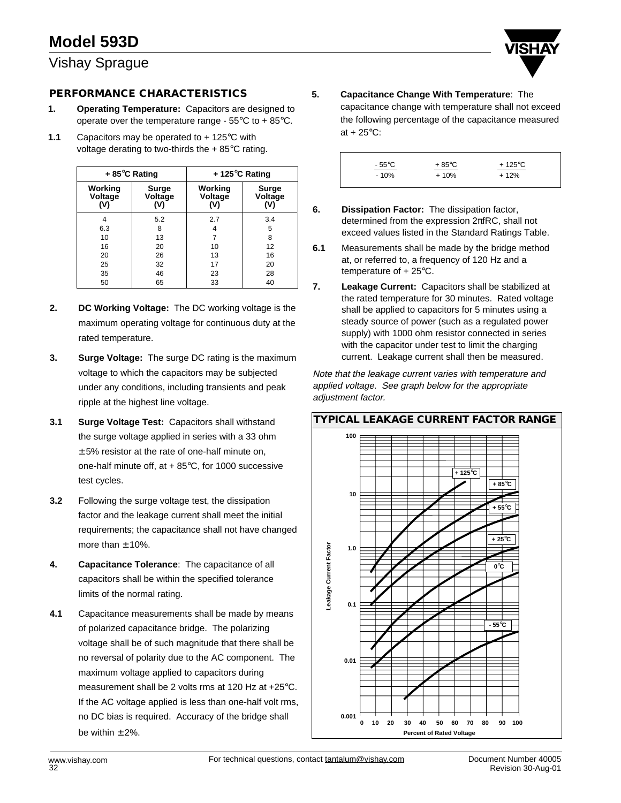## **PERFORMANCE CHARACTERISTICS**

- **1. Operating Temperature:** Capacitors are designed to operate over the temperature range - 55°C to + 85°C.
- **1.1** Capacitors may be operated to + 125°C with voltage derating to two-thirds the + 85°C rating.

|                           | $+85^{\circ}$ C Rating  | $+$ 125 $\degree$ C Rating |                        |  |  |  |
|---------------------------|-------------------------|----------------------------|------------------------|--|--|--|
| Working<br>Voltage<br>۵V) | Surge<br>Voltage<br>(V) | Working<br>Voltage<br>(V)  | Surge<br>Voltage<br>W۱ |  |  |  |
|                           | 5.2                     | 2.7                        | 3.4                    |  |  |  |
| 6.3                       | 8                       | 4                          | 5                      |  |  |  |
| 10                        | 13                      |                            | 8                      |  |  |  |
| 16                        | 20                      | 10                         | 12                     |  |  |  |
| 20                        | 26                      | 13                         | 16                     |  |  |  |
| 25                        | 32                      | 17                         | 20                     |  |  |  |
| 35                        | 46                      | 23                         | 28                     |  |  |  |
| 50                        | 65                      | 33                         | 40                     |  |  |  |

- **2. DC Working Voltage:** The DC working voltage is the maximum operating voltage for continuous duty at the rated temperature.
- **3. Surge Voltage:** The surge DC rating is the maximum voltage to which the capacitors may be subjected under any conditions, including transients and peak ripple at the highest line voltage.
- **3.1 Surge Voltage Test:** Capacitors shall withstand the surge voltage applied in series with a 33 ohm  $\pm$  5% resistor at the rate of one-half minute on, one-half minute off, at  $+85^{\circ}$ C, for 1000 successive test cycles.
- **3.2** Following the surge voltage test, the dissipation factor and the leakage current shall meet the initial requirements; the capacitance shall not have changed more than  $\pm$  10%.
- **4. Capacitance Tolerance**: The capacitance of all capacitors shall be within the specified tolerance limits of the normal rating.
- **4.1** Capacitance measurements shall be made by means of polarized capacitance bridge. The polarizing voltage shall be of such magnitude that there shall be no reversal of polarity due to the AC component. The maximum voltage applied to capacitors during measurement shall be 2 volts rms at 120 Hz at +25°C. If the AC voltage applied is less than one-half volt rms, no DC bias is required. Accuracy of the bridge shall be within  $\pm$  2%.

**5. Capacitance Change With Temperature**: The capacitance change with temperature shall not exceed the following percentage of the capacitance measured at  $+25^{\circ}$ C:



- **6. Dissipation Factor:** The dissipation factor, determined from the expression 2πfRC, shall not exceed values listed in the Standard Ratings Table.
- **6.1** Measurements shall be made by the bridge method at, or referred to, a frequency of 120 Hz and a temperature of + 25°C.
- **7. Leakage Current:** Capacitors shall be stabilized at the rated temperature for 30 minutes. Rated voltage shall be applied to capacitors for 5 minutes using a steady source of power (such as a regulated power supply) with 1000 ohm resistor connected in series with the capacitor under test to limit the charging current. Leakage current shall then be measured.

Note that the leakage current varies with temperature and applied voltage. See graph below for the appropriate adjustment factor.

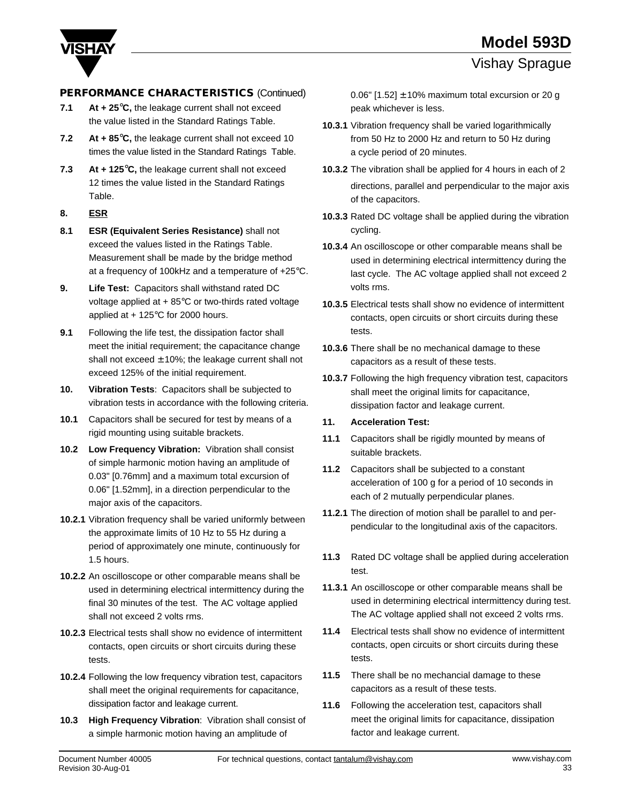



## **PERFORMANCE CHARACTERISTICS** (Continued) 0.06" [1.52] ± 10% maximum total excursion or 20 g

- **7.1 At + 25**°**C,** the leakage current shall not exceed the value listed in the Standard Ratings Table.
- **7.2 At + 85**°**C,** the leakage current shall not exceed 10 times the value listed in the Standard Ratings Table.
- **7.3 At + 125**°**C,** the leakage current shall not exceed 12 times the value listed in the Standard Ratings Table.
- **8. ESR**
- **8.1 ESR (Equivalent Series Resistance)** shall not exceed the values listed in the Ratings Table. Measurement shall be made by the bridge method at a frequency of 100kHz and a temperature of +25°C.
- **9. Life Test:** Capacitors shall withstand rated DC voltage applied at  $+85^{\circ}$ C or two-thirds rated voltage applied at + 125°C for 2000 hours.
- **9.1** Following the life test, the dissipation factor shall meet the initial requirement; the capacitance change shall not exceed  $\pm$  10%; the leakage current shall not exceed 125% of the initial requirement.
- **10. Vibration Tests**: Capacitors shall be subjected to vibration tests in accordance with the following criteria.
- **10.1** Capacitors shall be secured for test by means of a rigid mounting using suitable brackets.
- **10.2 Low Frequency Vibration:** Vibration shall consist of simple harmonic motion having an amplitude of 0.03" [0.76mm] and a maximum total excursion of 0.06" [1.52mm], in a direction perpendicular to the major axis of the capacitors.
- **10.2.1** Vibration frequency shall be varied uniformly between the approximate limits of 10 Hz to 55 Hz during a period of approximately one minute, continuously for 1.5 hours.
- **10.2.2** An oscilloscope or other comparable means shall be used in determining electrical intermittency during the final 30 minutes of the test. The AC voltage applied shall not exceed 2 volts rms.
- **10.2.3** Electrical tests shall show no evidence of intermittent contacts, open circuits or short circuits during these tests.
- **10.2.4** Following the low frequency vibration test, capacitors shall meet the original requirements for capacitance, dissipation factor and leakage current.
- **10.3 High Frequency Vibration**: Vibration shall consist of a simple harmonic motion having an amplitude of

peak whichever is less.

- **10.3.1** Vibration frequency shall be varied logarithmically from 50 Hz to 2000 Hz and return to 50 Hz during a cycle period of 20 minutes.
- **10.3.2** The vibration shall be applied for 4 hours in each of 2 directions, parallel and perpendicular to the major axis of the capacitors.
- **10.3.3** Rated DC voltage shall be applied during the vibration cycling.
- **10.3.4** An oscilloscope or other comparable means shall be used in determining electrical intermittency during the last cycle. The AC voltage applied shall not exceed 2 volts rms.
- **10.3.5** Electrical tests shall show no evidence of intermittent contacts, open circuits or short circuits during these tests.
- **10.3.6** There shall be no mechanical damage to these capacitors as a result of these tests.
- **10.3.7** Following the high frequency vibration test, capacitors shall meet the original limits for capacitance, dissipation factor and leakage current.
- **11. Acceleration Test:**
- **11.1** Capacitors shall be rigidly mounted by means of suitable brackets.
- **11.2** Capacitors shall be subjected to a constant acceleration of 100 g for a period of 10 seconds in each of 2 mutually perpendicular planes.
- **11.2.1** The direction of motion shall be parallel to and perpendicular to the longitudinal axis of the capacitors.
- **11.3** Rated DC voltage shall be applied during acceleration test.
- **11.3.1** An oscilloscope or other comparable means shall be used in determining electrical intermittency during test. The AC voltage applied shall not exceed 2 volts rms.
- **11.4** Electrical tests shall show no evidence of intermittent contacts, open circuits or short circuits during these tests.
- **11.5** There shall be no mechancial damage to these capacitors as a result of these tests.
- **11.6** Following the acceleration test, capacitors shall meet the original limits for capacitance, dissipation factor and leakage current.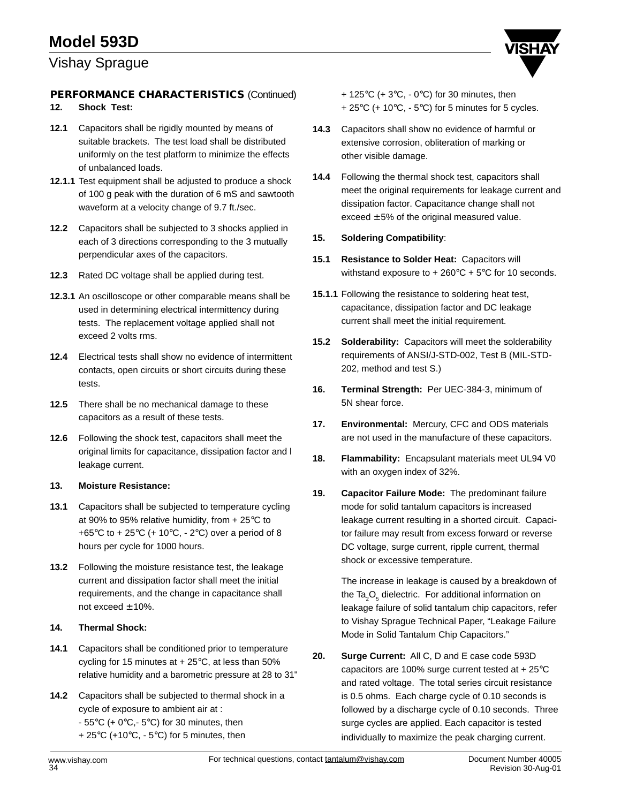## Vishay Sprague

## **PERFORMANCE CHARACTERISTICS** (Continued) + 125°C (+ 3°C, - 0°C) for 30 minutes, then

## **12. Shock Test:**

- **12.1** Capacitors shall be rigidly mounted by means of suitable brackets. The test load shall be distributed uniformly on the test platform to minimize the effects of unbalanced loads.
- **12.1.1** Test equipment shall be adjusted to produce a shock of 100 g peak with the duration of 6 mS and sawtooth waveform at a velocity change of 9.7 ft./sec.
- **12.2** Capacitors shall be subjected to 3 shocks applied in each of 3 directions corresponding to the 3 mutually perpendicular axes of the capacitors.
- **12.3** Rated DC voltage shall be applied during test.
- **12.3.1** An oscilloscope or other comparable means shall be used in determining electrical intermittency during tests. The replacement voltage applied shall not exceed 2 volts rms.
- **12.4** Electrical tests shall show no evidence of intermittent contacts, open circuits or short circuits during these tests.
- **12.5** There shall be no mechanical damage to these capacitors as a result of these tests.
- **12.6** Following the shock test, capacitors shall meet the original limits for capacitance, dissipation factor and l leakage current.

### **13. Moisture Resistance:**

- **13.1** Capacitors shall be subjected to temperature cycling at 90% to 95% relative humidity, from + 25°C to +65 $\degree$ C to + 25 $\degree$ C (+ 10 $\degree$ C, - 2 $\degree$ C) over a period of 8 hours per cycle for 1000 hours.
- **13.2** Following the moisture resistance test, the leakage current and dissipation factor shall meet the initial requirements, and the change in capacitance shall not exceed  $\pm$  10%.

## **14. Thermal Shock:**

- **14.1** Capacitors shall be conditioned prior to temperature cycling for 15 minutes at  $+25^{\circ}$ C, at less than 50% relative humidity and a barometric pressure at 28 to 31"
- **14.2** Capacitors shall be subjected to thermal shock in a cycle of exposure to ambient air at :  $-55^{\circ}$ C (+ 0 $^{\circ}$ C,  $-5^{\circ}$ C) for 30 minutes, then + 25°C (+10°C, - 5°C) for 5 minutes, then

 $+ 25^{\circ}$ C (+ 10 $^{\circ}$ C, - 5 $^{\circ}$ C) for 5 minutes for 5 cycles.

- **14.3** Capacitors shall show no evidence of harmful or extensive corrosion, obliteration of marking or other visible damage.
- **14.4** Following the thermal shock test, capacitors shall meet the original requirements for leakage current and dissipation factor. Capacitance change shall not exceed  $\pm$  5% of the original measured value.

#### **15. Soldering Compatibility**:

- **15.1 Resistance to Solder Heat:** Capacitors will withstand exposure to  $+260^{\circ}C + 5^{\circ}C$  for 10 seconds.
- **15.1.1** Following the resistance to soldering heat test, capacitance, dissipation factor and DC leakage current shall meet the initial requirement.
- **15.2 Solderability:** Capacitors will meet the solderability requirements of ANSI/J-STD-002, Test B (MIL-STD-202, method and test S.)
- **16. Terminal Strength:** Per UEC-384-3, minimum of 5N shear force.
- **17. Environmental:** Mercury, CFC and ODS materials are not used in the manufacture of these capacitors.
- **18. Flammability:** Encapsulant materials meet UL94 V0 with an oxygen index of 32%.
- **19. Capacitor Failure Mode:** The predominant failure mode for solid tantalum capacitors is increased leakage current resulting in a shorted circuit. Capacitor failure may result from excess forward or reverse DC voltage, surge current, ripple current, thermal shock or excessive temperature.

The increase in leakage is caused by a breakdown of the Ta ${_{2}O_{5}}$  dielectric. For additional information on leakage failure of solid tantalum chip capacitors, refer to Vishay Sprague Technical Paper, "Leakage Failure Mode in Solid Tantalum Chip Capacitors."

**20. Surge Current:** All C, D and E case code 593D capacitors are 100% surge current tested at + 25°C and rated voltage. The total series circuit resistance is 0.5 ohms. Each charge cycle of 0.10 seconds is followed by a discharge cycle of 0.10 seconds. Three surge cycles are applied. Each capacitor is tested individually to maximize the peak charging current.

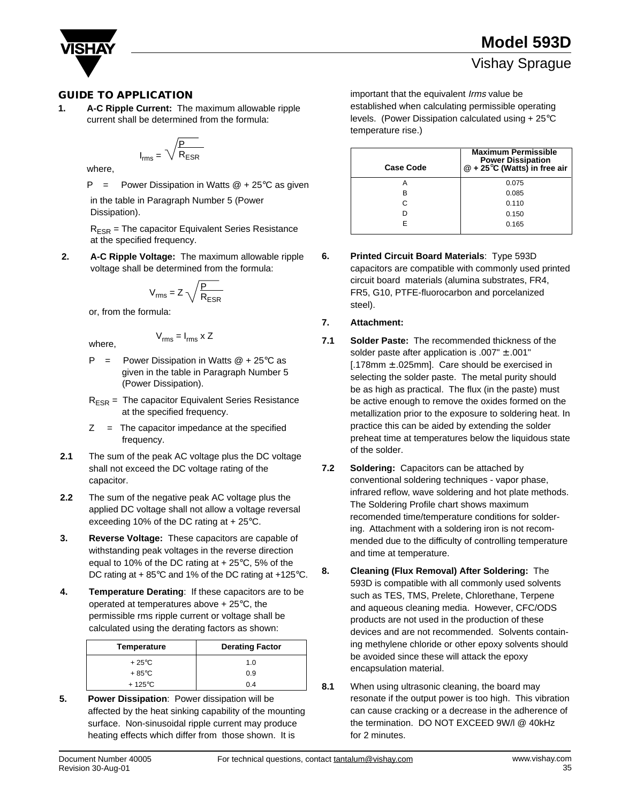

**1. A-C Ripple Current:** The maximum allowable ripple current shall be determined from the formula:

$$
I_{rms} = \sqrt{\frac{P}{R_{ESR}}}
$$

where,

 $P = Power Dissipation in Watts @ + 25°C as given$ in the table in Paragraph Number 5 (Power

Dissipation).

 $R<sub>FSR</sub>$  = The capacitor Equivalent Series Resistance at the specified frequency.

**2. A-C Ripple Voltage:** The maximum allowable ripple voltage shall be determined from the formula:

$$
V_{rms} = Z \sqrt{\frac{P}{R_{ESR}}}
$$

or, from the formula:

where,

 $V_{\text{rms}} = I_{\text{rms}}$  x Z

- $P = Power Dissipation in Watts @ + 25°C as$  given in the table in Paragraph Number 5 (Power Dissipation).
- $R<sub>FSR</sub>$  = The capacitor Equivalent Series Resistance at the specified frequency.
- $Z =$  The capacitor impedance at the specified frequency.
- **2.1** The sum of the peak AC voltage plus the DC voltage shall not exceed the DC voltage rating of the capacitor.
- **2.2** The sum of the negative peak AC voltage plus the applied DC voltage shall not allow a voltage reversal exceeding 10% of the DC rating at  $+25^{\circ}$ C.
- **3. Reverse Voltage:** These capacitors are capable of withstanding peak voltages in the reverse direction equal to 10% of the DC rating at  $+25^{\circ}$ C, 5% of the DC rating at + 85°C and 1% of the DC rating at +125°C.
- **4. Temperature Derating**: If these capacitors are to be operated at temperatures above  $+25^{\circ}$ C, the permissible rms ripple current or voltage shall be calculated using the derating factors as shown:

| Temperature      | <b>Derating Factor</b> |
|------------------|------------------------|
| $+25^{\circ}$ C  | 1.0                    |
| $+85^{\circ}$ C  | 0.9                    |
| $+125^{\circ}$ C | 0.4                    |

**5. Power Dissipation**: Power dissipation will be affected by the heat sinking capability of the mounting surface. Non-sinusoidal ripple current may produce heating effects which differ from those shown. It is

**GUIDE TO APPLICATION important that the equivalent Irms value be** established when calculating permissible operating levels. (Power Dissipation calculated using + 25°C temperature rise.)

| <b>Case Code</b> | <b>Maximum Permissible</b><br><b>Power Dissipation</b><br>$@ + 25^{\circ}$ C (Watts) in free air |
|------------------|--------------------------------------------------------------------------------------------------|
|                  | 0.075                                                                                            |
| в                | 0.085                                                                                            |
| C                | 0.110                                                                                            |
|                  | 0.150                                                                                            |
| F                | 0.165                                                                                            |

**6. Printed Circuit Board Materials**: Type 593D capacitors are compatible with commonly used printed circuit board materials (alumina substrates, FR4, FR5, G10, PTFE-fluorocarbon and porcelanized steel).

#### **7. Attachment:**

- **7.1 Solder Paste:** The recommended thickness of the solder paste after application is .007" ± .001" [.178mm ± .025mm]. Care should be exercised in selecting the solder paste. The metal purity should be as high as practical. The flux (in the paste) must be active enough to remove the oxides formed on the metallization prior to the exposure to soldering heat. In practice this can be aided by extending the solder preheat time at temperatures below the liquidous state of the solder.
- **7.2 Soldering:** Capacitors can be attached by conventional soldering techniques - vapor phase, infrared reflow, wave soldering and hot plate methods. The Soldering Profile chart shows maximum recomended time/temperature conditions for soldering. Attachment with a soldering iron is not recommended due to the difficulty of controlling temperature and time at temperature.
- **8. Cleaning (Flux Removal) After Soldering:** The 593D is compatible with all commonly used solvents such as TES, TMS, Prelete, Chlorethane, Terpene and aqueous cleaning media. However, CFC/ODS products are not used in the production of these devices and are not recommended. Solvents containing methylene chloride or other epoxy solvents should be avoided since these will attack the epoxy encapsulation material.
- **8.1** When using ultrasonic cleaning, the board may resonate if the output power is too high. This vibration can cause cracking or a decrease in the adherence of the termination. DO NOT EXCEED 9W/l @ 40kHz for 2 minutes.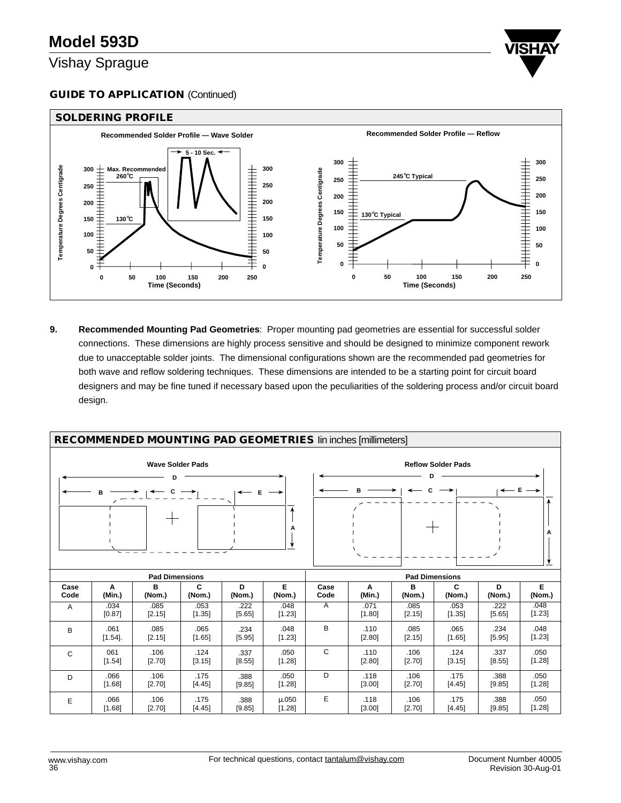## **GUIDE TO APPLICATION (Continued)**



**9. Recommended Mounting Pad Geometries**: Proper mounting pad geometries are essential for successful solder connections. These dimensions are highly process sensitive and should be designed to minimize component rework due to unacceptable solder joints. The dimensional configurations shown are the recommended pad geometries for both wave and reflow soldering techniques. These dimensions are intended to be a starting point for circuit board designers and may be fine tuned if necessary based upon the peculiarities of the soldering process and/or circuit board design.

|                              | <b>RECOMMENDED MOUNTING PAD GEOMETRIES lin inches [millimeters]</b> |                       |                |                |                 |              |                |                       |                           |                |                |
|------------------------------|---------------------------------------------------------------------|-----------------------|----------------|----------------|-----------------|--------------|----------------|-----------------------|---------------------------|----------------|----------------|
| <b>Wave Solder Pads</b><br>Е |                                                                     |                       |                |                |                 |              |                |                       | <b>Reflow Solder Pads</b> |                |                |
|                              |                                                                     | <b>Pad Dimensions</b> |                |                |                 |              |                | <b>Pad Dimensions</b> |                           |                |                |
| Case<br>Code                 | A<br>(Min.)                                                         | B<br>(Nom.)           | C<br>(Nom.)    | D<br>(Nom.)    | Е<br>(Nom.)     | Case<br>Code | A<br>(Min.)    | в<br>(Nom.)           | C<br>(Nom.)               | D<br>(Nom.)    | Е<br>(Nom.)    |
| $\overline{A}$               | .034<br>[0.87]                                                      | .085<br>[2.15]        | .053<br>[1.35] | .222<br>[5.65] | .048<br>[1.23]  | A            | .071<br>[1.80] | .085<br>[2.15]        | .053<br>[1.35]            | .222<br>[5.65] | .048<br>[1.23] |
| B                            | .061<br>$[1.54]$ .                                                  | .085<br>[2.15]        | .065<br>[1.65] | .234<br>[5.95] | .048<br>[1.23]  | В            | .110<br>[2.80] | .085<br>[2.15]        | .065<br>[1.65]            | .234<br>[5.95] | .048<br>[1.23] |
| C                            | 061<br>[1.54]                                                       | .106<br>[2.70]        | .124<br>[3.15] | .337<br>[8.55] | .050<br>[1.28]  | C            | .110<br>[2.80] | .106<br>[2.70]        | .124<br>[3.15]            | .337<br>[8.55] | .050<br>[1.28] |
| D                            | .066<br>[1.68]                                                      | .106<br>[2.70]        | .175<br>[4.45] | .388<br>[9.85] | .050<br>[1.28]  | D            | .118<br>[3.00] | .106<br>[2.70]        | .175<br>[4.45]            | .388<br>[9.85] | .050<br>[1.28] |
| E                            | .066<br>[1.68]                                                      | .106<br>[2.70]        | .175<br>[4.45] | .388<br>[9.85] | u.050<br>[1.28] | Е            | .118<br>[3.00] | .106<br>[2.70]        | .175<br>[4.45]            | .388<br>[9.85] | .050<br>[1.28] |